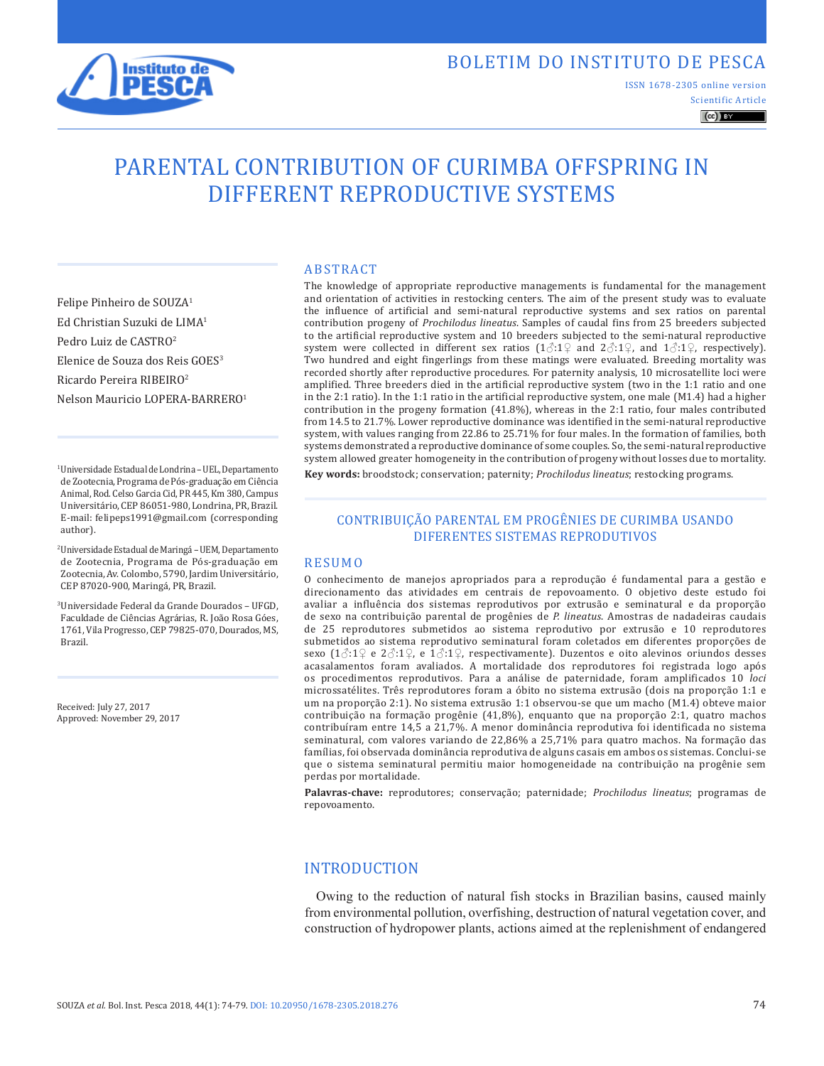

ISSN 1678-2305 online version

Scientific Article  $\left(\mathrm{cc}\right)$  BY

# PARENTAL CONTRIBUTION OF CURIMBA OFFSPRING IN DIFFERENT REPRODUCTIVE SYSTEMS

ABSTRACT

Felipe Pinheiro de SOUZA1 Ed Christian Suzuki de LIMA1 Pedro Luiz de CASTRO2 Elenice de Souza dos Reis GOES3 Ricardo Pereira RIBEIRO2 Nelson Mauricio LOPERA-BARRERO1

1Universidade Estadual de Londrina – UEL, Departamento de Zootecnia, Programa de Pós-graduação em Ciência Animal, Rod. Celso Garcia Cid, PR 445, Km 380, Campus Universitário, CEP 86051-980, Londrina, PR, Brazil. E-mail: felipeps1991@gmail.com (corresponding author).

2Universidade Estadual de Maringá – UEM, Departamento de Zootecnia, Programa de Pós-graduação em Zootecnia, Av. Colombo, 5790, Jardim Universitário, CEP 87020-900, Maringá, PR, Brazil.

3Universidade Federal da Grande Dourados – UFGD, Faculdade de Ciências Agrárias, R. João Rosa Góes, 1761, Vila Progresso, CEP 79825-070, Dourados, MS, Brazil.

Received: July 27, 2017 Approved: November 29, 2017 The knowledge of appropriate reproductive managements is fundamental for the management and orientation of activities in restocking centers. The aim of the present study was to evaluate the influence of artificial and semi-natural reproductive systems and sex ratios on parental contribution progeny of *Prochilodus lineatus*. Samples of caudal fins from 25 breeders subjected to the artificial reproductive system and 10 breeders subjected to the semi-natural reproductive system were collected in different sex ratios  $(1\text{C}:\,1\text{C})$  and  $2\text{C}:\,1\text{C}$ , and  $1\text{C}:\,1\text{C}$ , respectively). Two hundred and eight fingerlings from these matings were evaluated. Breeding mortality was recorded shortly after reproductive procedures. For paternity analysis, 10 microsatellite loci were amplified. Three breeders died in the artificial reproductive system (two in the 1:1 ratio and one in the 2:1 ratio). In the 1:1 ratio in the artificial reproductive system, one male (M1.4) had a higher contribution in the progeny formation (41.8%), whereas in the 2:1 ratio, four males contributed from 14.5 to 21.7%. Lower reproductive dominance was identified in the semi-natural reproductive system, with values ranging from 22.86 to 25.71% for four males. In the formation of families, both systems demonstrated a reproductive dominance of some couples. So, the semi-natural reproductive system allowed greater homogeneity in the contribution of progeny without losses due to mortality.

**Key words:** broodstock; conservation; paternity; *Prochilodus lineatus*; restocking programs.

## CONTRIBUIÇÃO PARENTAL EM PROGÊNIES DE CURIMBA USANDO DIFERENTES SISTEMAS REPRODUTIVOS

#### RESUMO

O conhecimento de manejos apropriados para a reprodução é fundamental para a gestão e direcionamento das atividades em centrais de repovoamento. O objetivo deste estudo foi avaliar a influência dos sistemas reprodutivos por extrusão e seminatural e da proporção de sexo na contribuição parental de progênies de *P. lineatus*. Amostras de nadadeiras caudais de 25 reprodutores submetidos ao sistema reprodutivo por extrusão e 10 reprodutores submetidos ao sistema reprodutivo seminatural foram coletados em diferentes proporções de sexo  $(1\text{ and } 1\text{)}$ : $(2\text{ and } 1\text{) }$ : $(3\text{ and } 1\text{)}$ ; respectivamente). Duzentos e oito alevinos oriundos desses acasalamentos foram avaliados. A mortalidade dos reprodutores foi registrada logo após os procedimentos reprodutivos. Para a análise de paternidade, foram amplificados 10 *loci* microssatélites. Três reprodutores foram a óbito no sistema extrusão (dois na proporção 1:1 e um na proporção 2:1). No sistema extrusão 1:1 observou-se que um macho (M1.4) obteve maior contribuição na formação progênie (41,8%), enquanto que na proporção 2:1, quatro machos contribuíram entre 14,5 a 21,7%. A menor dominância reprodutiva foi identificada no sistema seminatural, com valores variando de 22,86% a 25,71% para quatro machos. Na formação das famílias, foi observada dominância reprodutiva de alguns casais em ambos os sistemas. Conclui-se que o sistema seminatural permitiu maior homogeneidade na contribuição na progênie sem perdas por mortalidade.

**Palavras-chave:** reprodutores; conservação; paternidade; *Prochilodus lineatus*; programas de repovoamento.

## INTRODUCTION

Owing to the reduction of natural fish stocks in Brazilian basins, caused mainly from environmental pollution, overfishing, destruction of natural vegetation cover, and construction of hydropower plants, actions aimed at the replenishment of endangered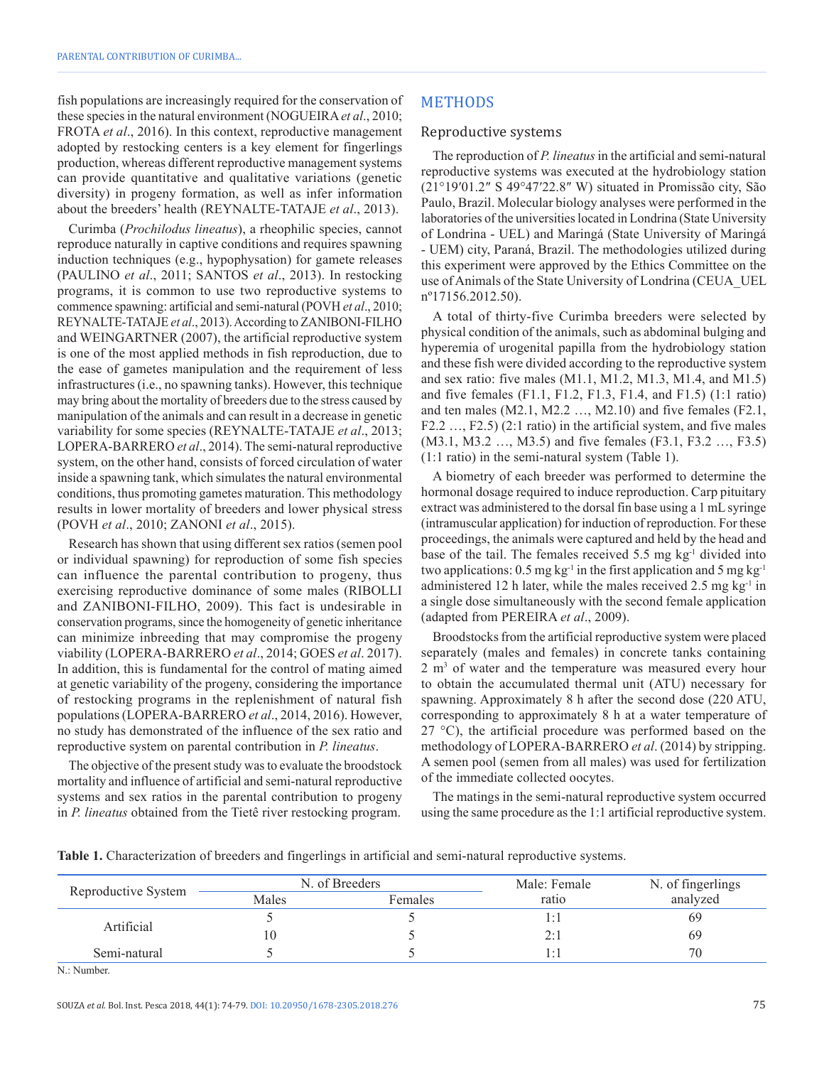fish populations are increasingly required for the conservation of these species in the natural environment (NOGUEIRA*et al*., 2010; FROTA *et al*., 2016). In this context, reproductive management adopted by restocking centers is a key element for fingerlings production, whereas different reproductive management systems can provide quantitative and qualitative variations (genetic diversity) in progeny formation, as well as infer information about the breeders' health (REYNALTE-TATAJE *et al*., 2013).

Curimba (*Prochilodus lineatus*), a rheophilic species, cannot reproduce naturally in captive conditions and requires spawning induction techniques (e.g., hypophysation) for gamete releases (PAULINO *et al*., 2011; SANTOS *et al*., 2013). In restocking programs, it is common to use two reproductive systems to commence spawning: artificial and semi-natural (POVH *et al*., 2010; REYNALTE-TATAJE *et al*., 2013). According to ZANIBONI-FILHO and WEINGARTNER (2007), the artificial reproductive system is one of the most applied methods in fish reproduction, due to the ease of gametes manipulation and the requirement of less infrastructures (i.e., no spawning tanks). However, this technique may bring about the mortality of breeders due to the stress caused by manipulation of the animals and can result in a decrease in genetic variability for some species (REYNALTE-TATAJE *et al*., 2013; LOPERA-BARRERO *et al*., 2014). The semi-natural reproductive system, on the other hand, consists of forced circulation of water inside a spawning tank, which simulates the natural environmental conditions, thus promoting gametes maturation. This methodology results in lower mortality of breeders and lower physical stress (POVH *et al*., 2010; ZANONI *et al*., 2015).

Research has shown that using different sex ratios (semen pool or individual spawning) for reproduction of some fish species can influence the parental contribution to progeny, thus exercising reproductive dominance of some males (RIBOLLI and ZANIBONI-FILHO, 2009). This fact is undesirable in conservation programs, since the homogeneity of genetic inheritance can minimize inbreeding that may compromise the progeny viability (LOPERA-BARRERO *et al*., 2014; GOES *et al*. 2017). In addition, this is fundamental for the control of mating aimed at genetic variability of the progeny, considering the importance of restocking programs in the replenishment of natural fish populations (LOPERA-BARRERO *et al*., 2014, 2016). However, no study has demonstrated of the influence of the sex ratio and reproductive system on parental contribution in *P. lineatus*.

The objective of the present study was to evaluate the broodstock mortality and influence of artificial and semi-natural reproductive systems and sex ratios in the parental contribution to progeny in *P. lineatus* obtained from the Tietê river restocking program.

## METHODS

#### Reproductive systems

The reproduction of *P. lineatus* in the artificial and semi-natural reproductive systems was executed at the hydrobiology station (21°19′01.2″ S 49°47′22.8″ W) situated in Promissão city, São Paulo, Brazil. Molecular biology analyses were performed in the laboratories of the universities located in Londrina (State University of Londrina - UEL) and Maringá (State University of Maringá - UEM) city, Paraná, Brazil. The methodologies utilized during this experiment were approved by the Ethics Committee on the use of Animals of the State University of Londrina (CEUA\_UEL nº17156.2012.50).

A total of thirty-five Curimba breeders were selected by physical condition of the animals, such as abdominal bulging and hyperemia of urogenital papilla from the hydrobiology station and these fish were divided according to the reproductive system and sex ratio: five males (M1.1, M1.2, M1.3, M1.4, and M1.5) and five females (F1.1, F1.2, F1.3, F1.4, and F1.5) (1:1 ratio) and ten males (M2.1, M2.2 …, M2.10) and five females (F2.1, F2.2 …, F2.5) (2:1 ratio) in the artificial system, and five males (M3.1, M3.2 …, M3.5) and five females (F3.1, F3.2 …, F3.5) (1:1 ratio) in the semi-natural system (Table 1).

A biometry of each breeder was performed to determine the hormonal dosage required to induce reproduction. Carp pituitary extract was administered to the dorsal fin base using a 1 mL syringe (intramuscular application) for induction of reproduction. For these proceedings, the animals were captured and held by the head and base of the tail. The females received  $5.5 \text{ mg kg}^{-1}$  divided into two applications:  $0.5 \text{ mg kg}^{-1}$  in the first application and 5 mg kg<sup>-1</sup> administered 12 h later, while the males received  $2.5 \text{ mg kg}^{-1}$  in a single dose simultaneously with the second female application (adapted from PEREIRA *et al*., 2009).

Broodstocks from the artificial reproductive system were placed separately (males and females) in concrete tanks containing 2 m<sup>3</sup> of water and the temperature was measured every hour to obtain the accumulated thermal unit (ATU) necessary for spawning. Approximately 8 h after the second dose (220 ATU, corresponding to approximately 8 h at a water temperature of 27 °C), the artificial procedure was performed based on the methodology of LOPERA-BARRERO *et al*. (2014) by stripping. A semen pool (semen from all males) was used for fertilization of the immediate collected oocytes.

The matings in the semi-natural reproductive system occurred using the same procedure as the 1:1 artificial reproductive system.

**Table 1.** Characterization of breeders and fingerlings in artificial and semi-natural reproductive systems.

| Reproductive System |       | N. of Breeders | Male: Female | N. of fingerlings |  |  |
|---------------------|-------|----------------|--------------|-------------------|--|--|
|                     | Males | Females        | ratio        | analyzed          |  |  |
|                     |       |                |              | 69                |  |  |
| Artificial          | 10    |                | 2:1          | 69                |  |  |
| Semi-natural        |       |                | ΙïΙ          | 70                |  |  |

N.: Number.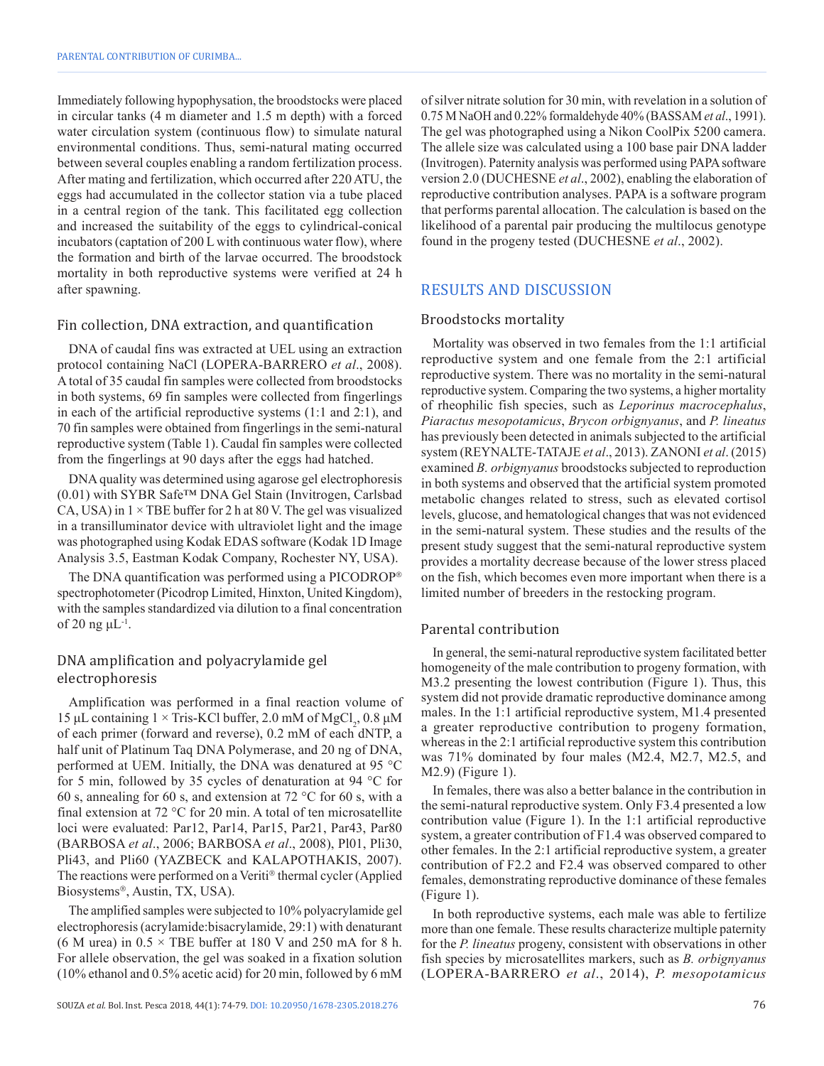Immediately following hypophysation, the broodstocks were placed in circular tanks (4 m diameter and 1.5 m depth) with a forced water circulation system (continuous flow) to simulate natural environmental conditions. Thus, semi-natural mating occurred between several couples enabling a random fertilization process. After mating and fertilization, which occurred after 220 ATU, the eggs had accumulated in the collector station via a tube placed in a central region of the tank. This facilitated egg collection and increased the suitability of the eggs to cylindrical-conical incubators (captation of 200 L with continuous water flow), where the formation and birth of the larvae occurred. The broodstock mortality in both reproductive systems were verified at 24 h after spawning.

#### Fin collection, DNA extraction, and quantification

DNA of caudal fins was extracted at UEL using an extraction protocol containing NaCl (LOPERA-BARRERO *et al*., 2008). A total of 35 caudal fin samples were collected from broodstocks in both systems, 69 fin samples were collected from fingerlings in each of the artificial reproductive systems (1:1 and 2:1), and 70 fin samples were obtained from fingerlings in the semi-natural reproductive system (Table 1). Caudal fin samples were collected from the fingerlings at 90 days after the eggs had hatched.

DNA quality was determined using agarose gel electrophoresis (0.01) with SYBR Safe™ DNA Gel Stain (Invitrogen, Carlsbad CA, USA) in  $1 \times$  TBE buffer for 2 h at 80 V. The gel was visualized in a transilluminator device with ultraviolet light and the image was photographed using Kodak EDAS software (Kodak 1D Image Analysis 3.5, Eastman Kodak Company, Rochester NY, USA).

The DNA quantification was performed using a PICODROP spectrophotometer (Picodrop Limited, Hinxton, United Kingdom), with the samples standardized via dilution to a final concentration of 20 ng  $\mu L^{-1}$ .

## DNA amplification and polyacrylamide gel electrophoresis

Amplification was performed in a final reaction volume of 15 μL containing  $1 \times$  Tris-KCl buffer, 2.0 mM of MgCl<sub>2</sub>, 0.8 μM of each primer (forward and reverse), 0.2 mM of each dNTP, a half unit of Platinum Taq DNA Polymerase, and 20 ng of DNA, performed at UEM. Initially, the DNA was denatured at 95 °C for 5 min, followed by 35 cycles of denaturation at 94 °C for 60 s, annealing for 60 s, and extension at 72 °C for 60 s, with a final extension at 72 °C for 20 min. A total of ten microsatellite loci were evaluated: Par12, Par14, Par15, Par21, Par43, Par80 (BARBOSA *et al*., 2006; BARBOSA *et al*., 2008), Pl01, Pli30, Pli43, and Pli60 (YAZBECK and KALAPOTHAKIS, 2007). The reactions were performed on a Veriti® thermal cycler (Applied Biosystems<sup>®</sup>, Austin, TX, USA).

The amplified samples were subjected to 10% polyacrylamide gel electrophoresis (acrylamide:bisacrylamide, 29:1) with denaturant (6 M urea) in  $0.5 \times$  TBE buffer at 180 V and 250 mA for 8 h. For allele observation, the gel was soaked in a fixation solution (10% ethanol and 0.5% acetic acid) for 20 min, followed by 6 mM of silver nitrate solution for 30 min, with revelation in a solution of 0.75 M NaOH and 0.22% formaldehyde 40% (BASSAM *et al*., 1991). The gel was photographed using a Nikon CoolPix 5200 camera. The allele size was calculated using a 100 base pair DNA ladder (Invitrogen). Paternity analysis was performed using PAPA software version 2.0 (DUCHESNE *et al*., 2002), enabling the elaboration of reproductive contribution analyses. PAPA is a software program that performs parental allocation. The calculation is based on the likelihood of a parental pair producing the multilocus genotype found in the progeny tested (DUCHESNE *et al*., 2002).

## RESULTS AND DISCUSSION

#### Broodstocks mortality

Mortality was observed in two females from the 1:1 artificial reproductive system and one female from the 2:1 artificial reproductive system. There was no mortality in the semi-natural reproductive system. Comparing the two systems, a higher mortality of rheophilic fish species, such as *Leporinus macrocephalus*, *Piaractus mesopotamicus*, *Brycon orbignyanus*, and *P. lineatus* has previously been detected in animals subjected to the artificial system (REYNALTE-TATAJE *et al*., 2013). ZANONI *et al*. (2015) examined *B. orbignyanus* broodstocks subjected to reproduction in both systems and observed that the artificial system promoted metabolic changes related to stress, such as elevated cortisol levels, glucose, and hematological changes that was not evidenced in the semi-natural system. These studies and the results of the present study suggest that the semi-natural reproductive system provides a mortality decrease because of the lower stress placed on the fish, which becomes even more important when there is a limited number of breeders in the restocking program.

#### Parental contribution

In general, the semi-natural reproductive system facilitated better homogeneity of the male contribution to progeny formation, with M3.2 presenting the lowest contribution (Figure 1). Thus, this system did not provide dramatic reproductive dominance among males. In the 1:1 artificial reproductive system, M1.4 presented a greater reproductive contribution to progeny formation, whereas in the 2:1 artificial reproductive system this contribution was 71% dominated by four males (M2.4, M2.7, M2.5, and M2.9) (Figure 1).

In females, there was also a better balance in the contribution in the semi-natural reproductive system. Only F3.4 presented a low contribution value (Figure 1). In the 1:1 artificial reproductive system, a greater contribution of F1.4 was observed compared to other females. In the 2:1 artificial reproductive system, a greater contribution of F2.2 and F2.4 was observed compared to other females, demonstrating reproductive dominance of these females (Figure 1).

In both reproductive systems, each male was able to fertilize more than one female. These results characterize multiple paternity for the *P. lineatus* progeny, consistent with observations in other fish species by microsatellites markers, such as *B. orbignyanus* (LOPERA-BARRERO *et al*., 2014), *P. mesopotamicus*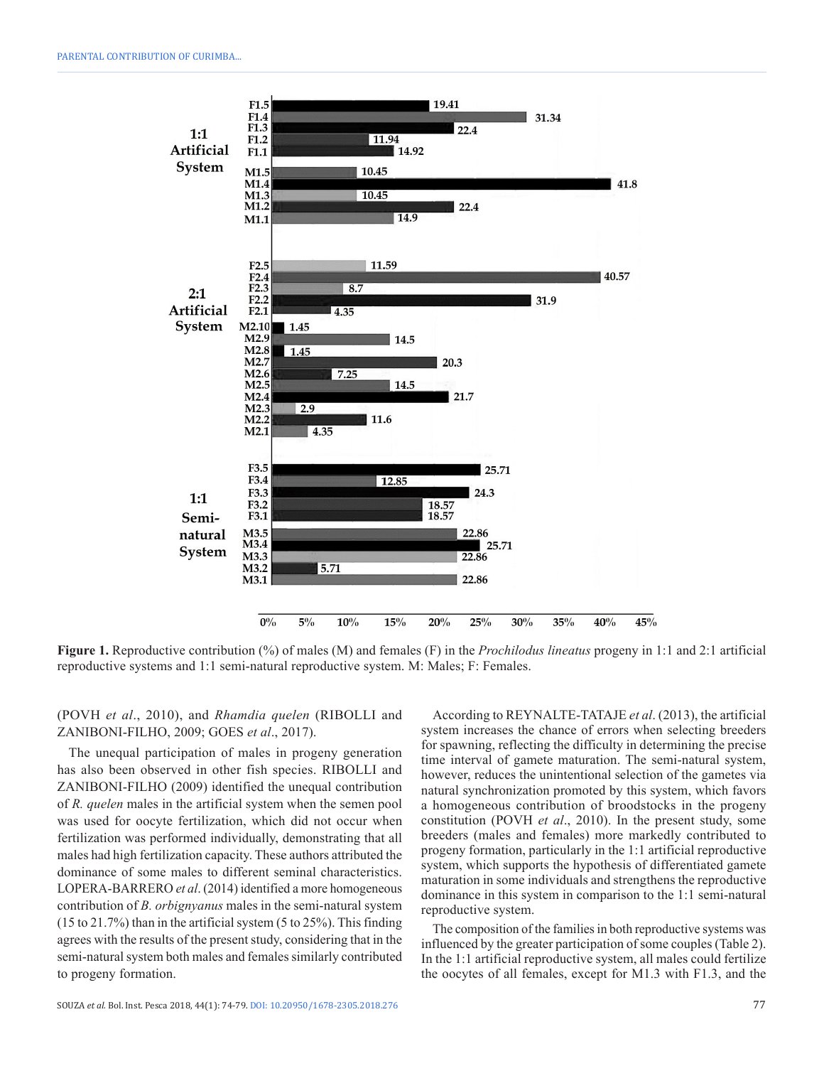

**Figure 1.** Reproductive contribution (%) of males (M) and females (F) in the *Prochilodus lineatus* progeny in 1:1 and 2:1 artificial reproductive systems and 1:1 semi-natural reproductive system. M: Males; F: Females.

(POVH *et al*., 2010), and *Rhamdia quelen* (RIBOLLI and ZANIBONI-FILHO, 2009; GOES *et al*., 2017).

The unequal participation of males in progeny generation has also been observed in other fish species. RIBOLLI and ZANIBONI-FILHO (2009) identified the unequal contribution of *R. quelen* males in the artificial system when the semen pool was used for oocyte fertilization, which did not occur when fertilization was performed individually, demonstrating that all males had high fertilization capacity. These authors attributed the dominance of some males to different seminal characteristics. LOPERA-BARRERO *et al*. (2014) identified a more homogeneous contribution of *B. orbignyanus* males in the semi-natural system (15 to 21.7%) than in the artificial system (5 to 25%). This finding agrees with the results of the present study, considering that in the semi-natural system both males and females similarly contributed to progeny formation.

According to REYNALTE-TATAJE *et al*. (2013), the artificial system increases the chance of errors when selecting breeders for spawning, reflecting the difficulty in determining the precise time interval of gamete maturation. The semi-natural system, however, reduces the unintentional selection of the gametes via natural synchronization promoted by this system, which favors a homogeneous contribution of broodstocks in the progeny constitution (POVH *et al*., 2010). In the present study, some breeders (males and females) more markedly contributed to progeny formation, particularly in the 1:1 artificial reproductive system, which supports the hypothesis of differentiated gamete maturation in some individuals and strengthens the reproductive dominance in this system in comparison to the 1:1 semi-natural reproductive system.

The composition of the families in both reproductive systems was influenced by the greater participation of some couples (Table 2). In the 1:1 artificial reproductive system, all males could fertilize the oocytes of all females, except for M1.3 with F1.3, and the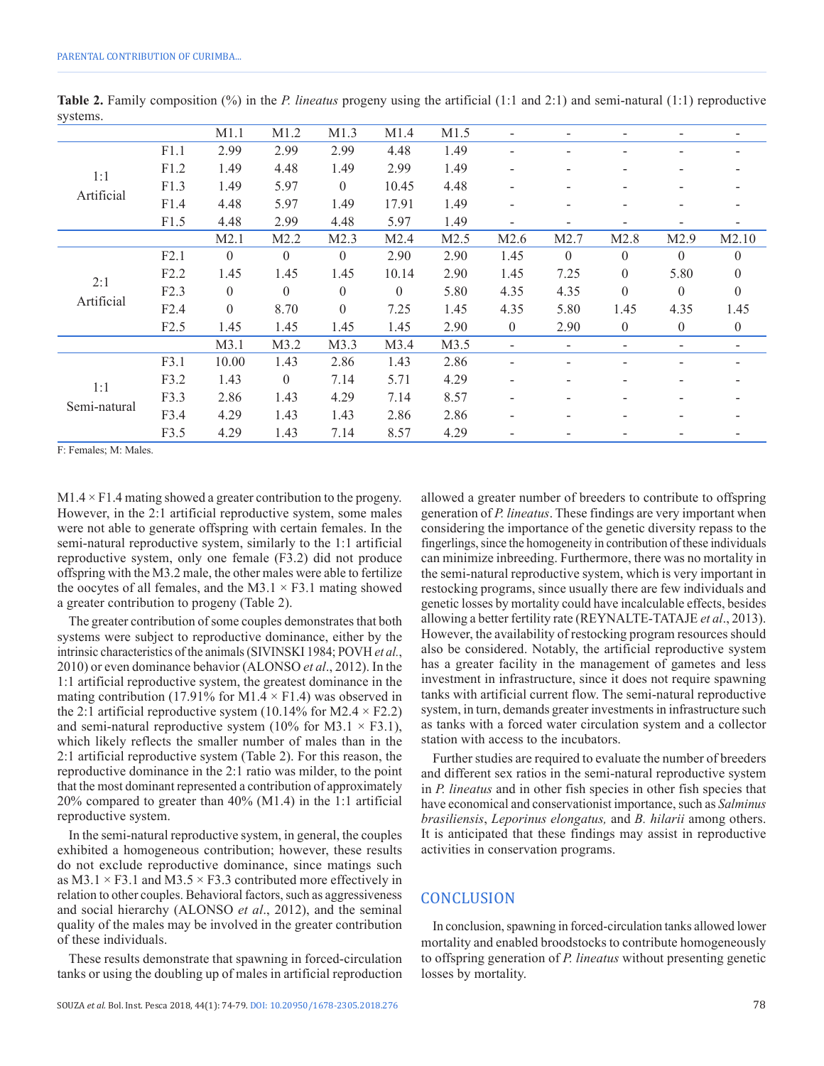|                     |      | M1.1             | M1.2             | M1.3             | M1.4         | M1.5 | -              |              |              |                |                |
|---------------------|------|------------------|------------------|------------------|--------------|------|----------------|--------------|--------------|----------------|----------------|
| 1:1<br>Artificial   | F1.1 | 2.99             | 2.99             | 2.99             | 4.48         | 1.49 |                |              |              |                |                |
|                     | F1.2 | 1.49             | 4.48             | 1.49             | 2.99         | 1.49 | -              |              |              |                |                |
|                     | F1.3 | 1.49             | 5.97             | $\boldsymbol{0}$ | 10.45        | 4.48 |                |              |              |                |                |
|                     | F1.4 | 4.48             | 5.97             | 1.49             | 17.91        | 1.49 |                |              |              |                |                |
|                     | F1.5 | 4.48             | 2.99             | 4.48             | 5.97         | 1.49 |                |              |              |                |                |
|                     |      | M2.1             | M2.2             | M2.3             | M2.4         | M2.5 | M2.6           | M2.7         | M2.8         | M2.9           | M2.10          |
| 2:1<br>Artificial   | F2.1 | $\mathbf{0}$     | $\mathbf{0}$     | $\overline{0}$   | 2.90         | 2.90 | 1.45           | $\mathbf{0}$ | $\mathbf{0}$ | $\theta$       | $\theta$       |
|                     | F2.2 | 1.45             | 1.45             | 1.45             | 10.14        | 2.90 | 1.45           | 7.25         | $\mathbf{0}$ | 5.80           | $\mathbf{0}$   |
|                     | F2.3 | $\mathbf{0}$     | $\boldsymbol{0}$ | $\boldsymbol{0}$ | $\mathbf{0}$ | 5.80 | 4.35           | 4.35         | $\mathbf{0}$ | $\mathbf{0}$   | $\overline{0}$ |
|                     | F2.4 | $\boldsymbol{0}$ | 8.70             | $\mathbf{0}$     | 7.25         | 1.45 | 4.35           | 5.80         | 1.45         | 4.35           | 1.45           |
|                     | F2.5 | 1.45             | 1.45             | 1.45             | 1.45         | 2.90 | $\overline{0}$ | 2.90         | $\mathbf{0}$ | $\overline{0}$ | $\mathbf{0}$   |
|                     |      | M3.1             | M3.2             | M3.3             | M3.4         | M3.5 | -              |              |              |                |                |
| 1:1<br>Semi-natural | F3.1 | 10.00            | 1.43             | 2.86             | 1.43         | 2.86 | -              |              |              |                |                |
|                     | F3.2 | 1.43             | $\boldsymbol{0}$ | 7.14             | 5.71         | 4.29 | -              |              |              |                |                |
|                     | F3.3 | 2.86             | 1.43             | 4.29             | 7.14         | 8.57 |                |              |              |                |                |
|                     | F3.4 | 4.29             | 1.43             | 1.43             | 2.86         | 2.86 |                |              |              |                |                |
|                     | F3.5 | 4.29             | 1.43             | 7.14             | 8.57         | 4.29 |                |              |              |                |                |

**Table 2.** Family composition (%) in the *P. lineatus* progeny using the artificial (1:1 and 2:1) and semi-natural (1:1) reproductive systems.

F: Females; M: Males.

 $M1.4 \times F1.4$  mating showed a greater contribution to the progeny. However, in the 2:1 artificial reproductive system, some males were not able to generate offspring with certain females. In the semi-natural reproductive system, similarly to the 1:1 artificial reproductive system, only one female (F3.2) did not produce offspring with the M3.2 male, the other males were able to fertilize the oocytes of all females, and the M3.1  $\times$  F3.1 mating showed a greater contribution to progeny (Table 2).

The greater contribution of some couples demonstrates that both systems were subject to reproductive dominance, either by the intrinsic characteristics of the animals (SIVINSKI 1984; POVH *et al.*, 2010) or even dominance behavior (ALONSO *et al*., 2012). In the 1:1 artificial reproductive system, the greatest dominance in the mating contribution (17.91% for M1.4  $\times$  F1.4) was observed in the 2:1 artificial reproductive system (10.14% for M2.4  $\times$  F2.2) and semi-natural reproductive system (10% for M3.1  $\times$  F3.1), which likely reflects the smaller number of males than in the 2:1 artificial reproductive system (Table 2). For this reason, the reproductive dominance in the 2:1 ratio was milder, to the point that the most dominant represented a contribution of approximately 20% compared to greater than 40% (M1.4) in the 1:1 artificial reproductive system.

In the semi-natural reproductive system, in general, the couples exhibited a homogeneous contribution; however, these results do not exclude reproductive dominance, since matings such as  $M3.1 \times F3.1$  and  $M3.5 \times F3.3$  contributed more effectively in relation to other couples. Behavioral factors, such as aggressiveness and social hierarchy (ALONSO *et al*., 2012), and the seminal quality of the males may be involved in the greater contribution of these individuals.

These results demonstrate that spawning in forced-circulation tanks or using the doubling up of males in artificial reproduction generation of *P. lineatus*. These findings are very important when considering the importance of the genetic diversity repass to the fingerlings, since the homogeneity in contribution of these individuals can minimize inbreeding. Furthermore, there was no mortality in the semi-natural reproductive system, which is very important in restocking programs, since usually there are few individuals and genetic losses by mortality could have incalculable effects, besides allowing a better fertility rate (REYNALTE-TATAJE *et al*., 2013). However, the availability of restocking program resources should also be considered. Notably, the artificial reproductive system has a greater facility in the management of gametes and less investment in infrastructure, since it does not require spawning tanks with artificial current flow. The semi-natural reproductive system, in turn, demands greater investments in infrastructure such as tanks with a forced water circulation system and a collector station with access to the incubators.

allowed a greater number of breeders to contribute to offspring

Further studies are required to evaluate the number of breeders and different sex ratios in the semi-natural reproductive system in *P. lineatus* and in other fish species in other fish species that have economical and conservationist importance, such as *Salminus brasiliensis*, *Leporinus elongatus,* and *B. hilarii* among others. It is anticipated that these findings may assist in reproductive activities in conservation programs.

#### **CONCLUSION**

In conclusion, spawning in forced-circulation tanks allowed lower mortality and enabled broodstocks to contribute homogeneously to offspring generation of *P. lineatus* without presenting genetic losses by mortality.